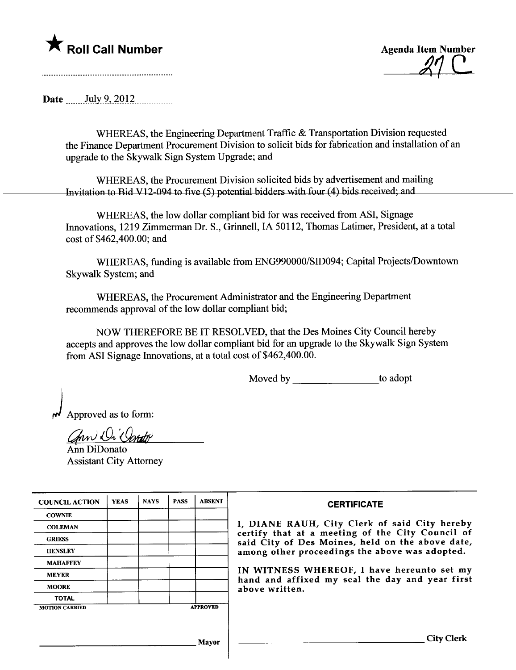## $\blacktriangledown$  Roll Call Number  $\blacktriangle$  Roll Call Number

 $Z'$   $\cup$ 

Date  $_{\text{July } 9, 2012}$   $_{\text{flux}}$ 

WHEREAS, the Engineering Department Traffic & Transportation Division requested the Finance Deparment Procurement Division to solicit bids for fabrication and installation of an upgrade to the Skywalk Sign System Upgrade; and

WHEREAS, the Procurement Division solicited bids by advertisement and mailing Invitation to Bid V12-094 to five  $(5)$  potential bidders with four  $(4)$  bids received; and

WHEREAS, the low dollar compliant bid for was received from ASI, Signage Innovations, 1219 Zimmerman Dr. S., Grinnell, IA 50112, Thomas Latimer, President, at a total cost of \$462,400.00; and

WHEREAS, fuding is available from ENG990000/SID094; Capital Projects/Downtown Skywalk System; and

WHEREAS, the Procurement Administrator and the Engineering Department recommends approval of the low dollar compliant bid;

NOW THEREFORE BE IT RESOLVED, that the Des Moines City Council hereby accepts and approves the low dollar compliant bid for an upgrade to the Skywalk Sign System from ASI Signage Innovations, at a total cost of \$462,400.00.

Moved by to adopt

Approved as to form:<br> $\frac{G_{\text{H}}}{\text{Ann DiDonato}}$ 

Assistant City Attorney

| <b>COUNCIL ACTION</b> | <b>YEAS</b> | <b>NAYS</b> | <b>PASS</b> | <b>ABSENT</b>   | <b>CERTIFICATE</b>                                                                                                                                    |  |  |  |
|-----------------------|-------------|-------------|-------------|-----------------|-------------------------------------------------------------------------------------------------------------------------------------------------------|--|--|--|
| <b>COWNIE</b>         |             |             |             |                 |                                                                                                                                                       |  |  |  |
| <b>COLEMAN</b>        |             |             |             |                 | I, DIANE RAUH, City Clerk of said City hereby<br>certify that at a meeting of the City Council of<br>said City of Des Moines, held on the above date, |  |  |  |
| <b>GRIESS</b>         |             |             |             |                 |                                                                                                                                                       |  |  |  |
| <b>HENSLEY</b>        |             |             |             |                 | among other proceedings the above was adopted.                                                                                                        |  |  |  |
| <b>MAHAFFEY</b>       |             |             |             |                 | IN WITNESS WHEREOF, I have hereunto set my<br>hand and affixed my seal the day and year first                                                         |  |  |  |
| <b>MEYER</b>          |             |             |             |                 |                                                                                                                                                       |  |  |  |
| <b>MOORE</b>          |             |             |             |                 | above written.                                                                                                                                        |  |  |  |
| <b>TOTAL</b>          |             |             |             |                 |                                                                                                                                                       |  |  |  |
| <b>MOTION CARRIED</b> |             |             |             | <b>APPROVED</b> |                                                                                                                                                       |  |  |  |
|                       |             |             |             |                 |                                                                                                                                                       |  |  |  |
|                       |             |             |             |                 |                                                                                                                                                       |  |  |  |
|                       |             |             |             | Mayor           | <b>City Clerk</b>                                                                                                                                     |  |  |  |